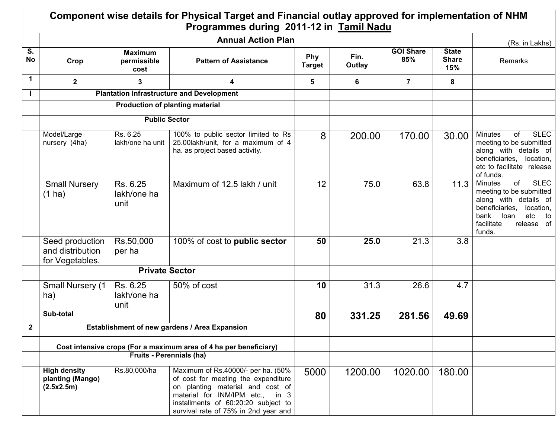|              |                                                        |                                       | Component wise details for Physical Target and Financial outlay approved for implementation of NHM<br>Programmes during 2011-12 in Tamil Nadu                                                                                   |                             |                |                         |                                     |                                                                                                                                                                                           |
|--------------|--------------------------------------------------------|---------------------------------------|---------------------------------------------------------------------------------------------------------------------------------------------------------------------------------------------------------------------------------|-----------------------------|----------------|-------------------------|-------------------------------------|-------------------------------------------------------------------------------------------------------------------------------------------------------------------------------------------|
|              |                                                        |                                       | (Rs. in Lakhs)                                                                                                                                                                                                                  |                             |                |                         |                                     |                                                                                                                                                                                           |
| S.<br>No     | Crop                                                   | <b>Maximum</b><br>permissible<br>cost | <b>Pattern of Assistance</b>                                                                                                                                                                                                    | <b>Phy</b><br><b>Target</b> | Fin.<br>Outlay | <b>GOI Share</b><br>85% | <b>State</b><br><b>Share</b><br>15% | Remarks                                                                                                                                                                                   |
| $\mathbf 1$  | $\mathbf{2}$                                           | 3                                     | 4                                                                                                                                                                                                                               | 5                           | 6              | $\overline{7}$          | 8                                   |                                                                                                                                                                                           |
|              |                                                        |                                       | <b>Plantation Infrastructure and Development</b>                                                                                                                                                                                |                             |                |                         |                                     |                                                                                                                                                                                           |
|              |                                                        |                                       | <b>Production of planting material</b>                                                                                                                                                                                          |                             |                |                         |                                     |                                                                                                                                                                                           |
|              |                                                        | <b>Public Sector</b>                  |                                                                                                                                                                                                                                 |                             |                |                         |                                     |                                                                                                                                                                                           |
|              | Model/Large<br>nursery (4ha)                           | Rs. 6.25<br>lakh/one ha unit          | 100% to public sector limited to Rs<br>25.00lakh/unit, for a maximum of 4<br>ha. as project based activity.                                                                                                                     | 8                           | 200.00         | 170.00                  | 30.00                               | <b>SLEC</b><br><b>Minutes</b><br>of<br>meeting to be submitted<br>along with details of<br>beneficiaries, location,<br>etc to facilitate release<br>of funds.                             |
|              | <b>Small Nursery</b><br>$(1)$ ha)                      | Rs. 6.25<br>lakh/one ha<br>unit       | Maximum of 12.5 lakh / unit                                                                                                                                                                                                     | 12                          | 75.0           | 63.8                    | 11.3                                | <b>SLEC</b><br>of<br><b>Minutes</b><br>meeting to be submitted<br>along with details of<br>beneficiaries,<br>location.<br>bank<br>loan<br>etc<br>to<br>facilitate<br>release of<br>funds. |
|              | Seed production<br>and distribution<br>for Vegetables. | Rs.50,000<br>per ha                   | 100% of cost to public sector                                                                                                                                                                                                   | 50                          | 25.0           | 21.3                    | 3.8                                 |                                                                                                                                                                                           |
|              |                                                        | <b>Private Sector</b>                 |                                                                                                                                                                                                                                 |                             |                |                         |                                     |                                                                                                                                                                                           |
|              | <b>Small Nursery (1</b><br>ha)                         | Rs. 6.25<br>lakh/one ha<br>unit       | 50% of cost                                                                                                                                                                                                                     | 10                          | 31.3           | 26.6                    | 4.7                                 |                                                                                                                                                                                           |
|              | Sub-total                                              |                                       |                                                                                                                                                                                                                                 | 80                          | 331.25         | 281.56                  | 49.69                               |                                                                                                                                                                                           |
| $\mathbf{2}$ |                                                        |                                       | Establishment of new gardens / Area Expansion                                                                                                                                                                                   |                             |                |                         |                                     |                                                                                                                                                                                           |
|              |                                                        |                                       |                                                                                                                                                                                                                                 |                             |                |                         |                                     |                                                                                                                                                                                           |
|              |                                                        |                                       | Cost intensive crops (For a maximum area of 4 ha per beneficiary)<br>Fruits - Perennials (ha)                                                                                                                                   |                             |                |                         |                                     |                                                                                                                                                                                           |
|              | <b>High density</b><br>planting (Mango)<br>(2.5x2.5m)  | Rs.80,000/ha                          | Maximum of Rs.40000/- per ha. (50%<br>of cost for meeting the expenditure<br>on planting material and cost of<br>material for INM/IPM etc., in 3<br>installments of 60:20:20 subject to<br>survival rate of 75% in 2nd year and | 5000                        | 1200.00        | 1020.00                 | 180.00                              |                                                                                                                                                                                           |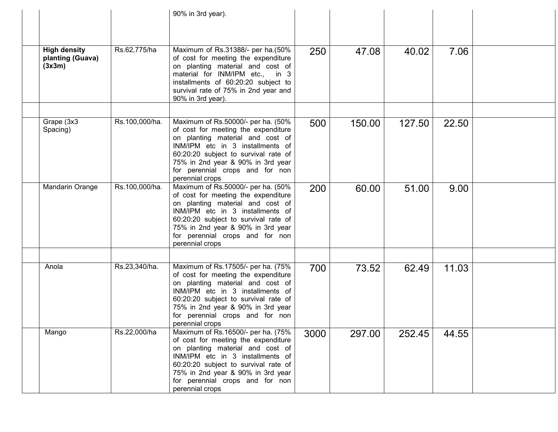|                                                   |                | 90% in 3rd year).                                                                                                                                                                                                                                                                    |      |        |        |       |  |
|---------------------------------------------------|----------------|--------------------------------------------------------------------------------------------------------------------------------------------------------------------------------------------------------------------------------------------------------------------------------------|------|--------|--------|-------|--|
| <b>High density</b><br>planting (Guava)<br>(3x3m) | Rs.62,775/ha   | Maximum of Rs.31388/- per ha.(50%<br>of cost for meeting the expenditure<br>on planting material and cost of<br>material for INM/IPM etc., in 3<br>installments of 60:20:20 subject to<br>survival rate of 75% in 2nd year and<br>90% in 3rd year).                                  | 250  | 47.08  | 40.02  | 7.06  |  |
| Grape (3x3<br>Spacing)                            | Rs.100,000/ha. | Maximum of Rs.50000/- per ha. (50%<br>of cost for meeting the expenditure<br>on planting material and cost of<br>INM/IPM etc in 3 installments of<br>60:20:20 subject to survival rate of<br>75% in 2nd year & 90% in 3rd year<br>for perennial crops and for non<br>perennial crops | 500  | 150.00 | 127.50 | 22.50 |  |
| Mandarin Orange                                   | Rs.100,000/ha. | Maximum of Rs.50000/- per ha. (50%<br>of cost for meeting the expenditure<br>on planting material and cost of<br>INM/IPM etc in 3 installments of<br>60:20:20 subject to survival rate of<br>75% in 2nd year & 90% in 3rd year<br>for perennial crops and for non<br>perennial crops | 200  | 60.00  | 51.00  | 9.00  |  |
| Anola                                             | Rs.23,340/ha.  | Maximum of Rs.17505/- per ha. (75%<br>of cost for meeting the expenditure<br>on planting material and cost of<br>INM/IPM etc in 3 installments of<br>60:20:20 subject to survival rate of<br>75% in 2nd year & 90% in 3rd year<br>for perennial crops and for non<br>perennial crops | 700  | 73.52  | 62.49  | 11.03 |  |
| Mango                                             | Rs.22,000/ha   | Maximum of Rs.16500/- per ha. (75%<br>of cost for meeting the expenditure<br>on planting material and cost of<br>INM/IPM etc in 3 installments of<br>60:20:20 subject to survival rate of<br>75% in 2nd year & 90% in 3rd year<br>for perennial crops and for non<br>perennial crops | 3000 | 297.00 | 252.45 | 44.55 |  |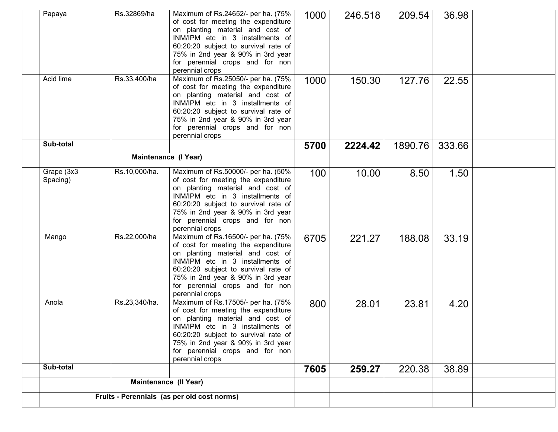| Papaya                 | Rs.32869/ha          | Maximum of Rs.24652/- per ha. (75%<br>of cost for meeting the expenditure<br>on planting material and cost of<br>INM/IPM etc in 3 installments of<br>60:20:20 subject to survival rate of<br>75% in 2nd year & 90% in 3rd year<br>for perennial crops and for non<br>perennial crops | 1000 | 246.518 | 209.54  | 36.98  |  |
|------------------------|----------------------|--------------------------------------------------------------------------------------------------------------------------------------------------------------------------------------------------------------------------------------------------------------------------------------|------|---------|---------|--------|--|
| Acid lime              | Rs.33,400/ha         | Maximum of Rs.25050/- per ha. (75%<br>of cost for meeting the expenditure<br>on planting material and cost of<br>INM/IPM etc in 3 installments of<br>60:20:20 subject to survival rate of<br>75% in 2nd year & 90% in 3rd year<br>for perennial crops and for non<br>perennial crops | 1000 | 150.30  | 127.76  | 22.55  |  |
| Sub-total              |                      |                                                                                                                                                                                                                                                                                      | 5700 | 2224.42 | 1890.76 | 333.66 |  |
|                        | Maintenance (I Year) |                                                                                                                                                                                                                                                                                      |      |         |         |        |  |
| Grape (3x3<br>Spacing) | Rs.10,000/ha.        | Maximum of Rs.50000/- per ha. (50%<br>of cost for meeting the expenditure<br>on planting material and cost of<br>INM/IPM etc in 3 installments of<br>60:20:20 subject to survival rate of<br>75% in 2nd year & 90% in 3rd year<br>for perennial crops and for non<br>perennial crops | 100  | 10.00   | 8.50    | 1.50   |  |
| Mango                  | Rs.22,000/ha         | Maximum of Rs.16500/- per ha. (75%<br>of cost for meeting the expenditure<br>on planting material and cost of<br>INM/IPM etc in 3 installments of<br>60:20:20 subject to survival rate of<br>75% in 2nd year & 90% in 3rd year<br>for perennial crops and for non<br>perennial crops | 6705 | 221.27  | 188.08  | 33.19  |  |
| Anola                  | Rs.23,340/ha.        | Maximum of Rs.17505/- per ha. (75%<br>of cost for meeting the expenditure<br>on planting material and cost of<br>INM/IPM etc in 3 installments of<br>60:20:20 subject to survival rate of<br>75% in 2nd year & 90% in 3rd year<br>for perennial crops and for non<br>perennial crops | 800  | 28.01   | 23.81   | 4.20   |  |
| Sub-total              |                      |                                                                                                                                                                                                                                                                                      | 7605 | 259.27  | 220.38  | 38.89  |  |
|                        |                      | Maintenance (Il Year)                                                                                                                                                                                                                                                                |      |         |         |        |  |
|                        |                      | Fruits - Perennials (as per old cost norms)                                                                                                                                                                                                                                          |      |         |         |        |  |
|                        |                      |                                                                                                                                                                                                                                                                                      |      |         |         |        |  |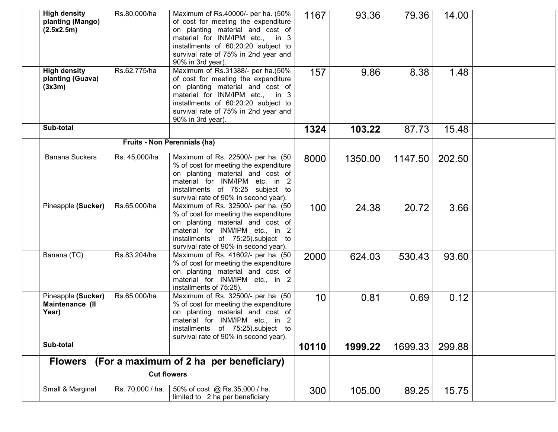| <b>High density</b><br>planting (Mango)<br>(2.5x2.5m) | Rs.80,000/ha     | Maximum of Rs.40000/- per ha. (50%<br>of cost for meeting the expenditure<br>on planting material and cost of<br>material for INM/IPM etc., in 3<br>installments of 60:20:20 subject to<br>survival rate of 75% in 2nd year and<br>90% in 3rd year). | 1167            | 93.36   | 79.36   | 14.00  |  |
|-------------------------------------------------------|------------------|------------------------------------------------------------------------------------------------------------------------------------------------------------------------------------------------------------------------------------------------------|-----------------|---------|---------|--------|--|
| <b>High density</b><br>planting (Guava)<br>(3x3m)     | Rs.62,775/ha     | Maximum of Rs.31388/- per ha.(50%<br>of cost for meeting the expenditure<br>on planting material and cost of<br>material for INM/IPM etc., in 3<br>installments of 60:20:20 subject to<br>survival rate of 75% in 2nd year and<br>90% in 3rd year).  | 157             | 9.86    | 8.38    | 1.48   |  |
| Sub-total                                             |                  |                                                                                                                                                                                                                                                      | 1324            | 103.22  | 87.73   | 15.48  |  |
|                                                       |                  | Fruits - Non Perennials (ha)                                                                                                                                                                                                                         |                 |         |         |        |  |
| Banana Suckers                                        | Rs. 45,000/ha    | Maximum of Rs. 22500/- per ha. (50<br>% of cost for meeting the expenditure<br>on planting material and cost of<br>material for INM/IPM etc, in 2<br>installments of 75:25 subject to<br>survival rate of 90% in second year).                       | 8000            | 1350.00 | 1147.50 | 202.50 |  |
| Pineapple (Sucker)                                    | Rs.65,000/ha     | Maximum of Rs. 32500/- per ha. (50<br>% of cost for meeting the expenditure<br>on planting material and cost of<br>material for INM/IPM etc., in 2<br>installments of 75:25).subject to<br>survival rate of 90% in second year).                     | 100             | 24.38   | 20.72   | 3.66   |  |
| Banana (TC)                                           | Rs.83,204/ha     | Maximum of Rs. 41602/- per ha. (50<br>% of cost for meeting the expenditure<br>on planting material and cost of<br>material for INM/IPM etc., in 2<br>installments of 75:25).                                                                        | 2000            | 624.03  | 530.43  | 93.60  |  |
| Pineapple (Sucker)<br>Maintenance (II<br>Year)        | Rs.65,000/ha     | Maximum of Rs. 32500/- per ha. (50<br>% of cost for meeting the expenditure<br>on planting material and cost of<br>material for INM/IPM etc., in 2<br>installments of 75:25).subject to<br>survival rate of 90% in second year).                     | 10 <sup>°</sup> | 0.81    | 0.69    | 0.12   |  |
| Sub-total                                             |                  |                                                                                                                                                                                                                                                      | 10110           | 1999.22 | 1699.33 | 299.88 |  |
| <b>Flowers</b>                                        |                  | (For a maximum of 2 ha per beneficiary)                                                                                                                                                                                                              |                 |         |         |        |  |
|                                                       |                  | <b>Cut flowers</b>                                                                                                                                                                                                                                   |                 |         |         |        |  |
| Small & Marginal                                      | Rs. 70,000 / ha. | 50% of cost @ Rs.35,000 / ha.<br>limited to 2 ha per beneficiary                                                                                                                                                                                     | 300             | 105.00  | 89.25   | 15.75  |  |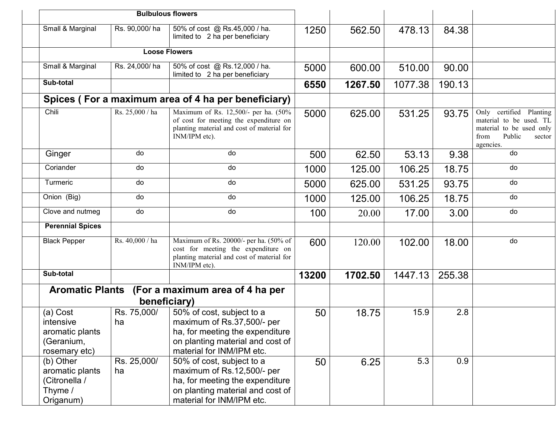|                                                                         | <b>Bulbulous flowers</b> |                                                                                                                                                             |       |         |         |        |                                                                                                                         |
|-------------------------------------------------------------------------|--------------------------|-------------------------------------------------------------------------------------------------------------------------------------------------------------|-------|---------|---------|--------|-------------------------------------------------------------------------------------------------------------------------|
| Small & Marginal                                                        | Rs. 90,000/ha            | 50% of cost @ Rs.45,000 / ha.<br>limited to 2 ha per beneficiary                                                                                            | 1250  | 562.50  | 478.13  | 84.38  |                                                                                                                         |
|                                                                         |                          | <b>Loose Flowers</b>                                                                                                                                        |       |         |         |        |                                                                                                                         |
| Small & Marginal                                                        | Rs. 24,000/ha            | 50% of cost @ Rs.12,000 / ha.<br>limited to 2 ha per beneficiary                                                                                            | 5000  | 600.00  | 510.00  | 90.00  |                                                                                                                         |
| Sub-total                                                               |                          |                                                                                                                                                             | 6550  | 1267.50 | 1077.38 | 190.13 |                                                                                                                         |
|                                                                         |                          | Spices (For a maximum area of 4 ha per beneficiary)                                                                                                         |       |         |         |        |                                                                                                                         |
| Chili                                                                   | Rs. 25,000 / ha          | Maximum of Rs. 12,500/- per ha. (50%<br>of cost for meeting the expenditure on<br>planting material and cost of material for<br>INM/IPM etc).               | 5000  | 625.00  | 531.25  | 93.75  | Only certified Planting<br>material to be used. TL<br>material to be used only<br>Public<br>from<br>sector<br>agencies. |
| Ginger                                                                  | do                       | do                                                                                                                                                          | 500   | 62.50   | 53.13   | 9.38   | do                                                                                                                      |
| Coriander                                                               | do                       | do                                                                                                                                                          | 1000  | 125.00  | 106.25  | 18.75  | do                                                                                                                      |
| Turmeric                                                                | do                       | do                                                                                                                                                          | 5000  | 625.00  | 531.25  | 93.75  | do                                                                                                                      |
| Onion (Big)                                                             | do                       | do                                                                                                                                                          | 1000  | 125.00  | 106.25  | 18.75  | do                                                                                                                      |
| Clove and nutmeg                                                        | do                       | do                                                                                                                                                          | 100   | 20.00   | 17.00   | 3.00   | do                                                                                                                      |
| <b>Perennial Spices</b>                                                 |                          |                                                                                                                                                             |       |         |         |        |                                                                                                                         |
| <b>Black Pepper</b>                                                     | Rs. 40,000 / ha          | Maximum of Rs. 20000/- per ha. (50% of<br>cost for meeting the expenditure on<br>planting material and cost of material for<br>INM/IPM etc).                | 600   | 120.00  | 102.00  | 18.00  | do                                                                                                                      |
| Sub-total                                                               |                          |                                                                                                                                                             | 13200 | 1702.50 | 1447.13 | 255.38 |                                                                                                                         |
|                                                                         |                          | Aromatic Plants (For a maximum area of 4 ha per<br>beneficiary)                                                                                             |       |         |         |        |                                                                                                                         |
| (a) Cost<br>intensive<br>aromatic plants<br>(Geranium,<br>rosemary etc) | Rs. 75,000/<br>ha        | 50% of cost, subject to a<br>maximum of Rs.37,500/- per<br>ha, for meeting the expenditure<br>on planting material and cost of<br>material for INM/IPM etc. | 50    | 18.75   | 15.9    | 2.8    |                                                                                                                         |
| (b) Other<br>aromatic plants<br>(Citronella /<br>Thyme /<br>Origanum)   | Rs. 25,000/<br>ha        | 50% of cost, subject to a<br>maximum of Rs.12,500/- per<br>ha, for meeting the expenditure<br>on planting material and cost of<br>material for INM/IPM etc. | 50    | 6.25    | 5.3     | 0.9    |                                                                                                                         |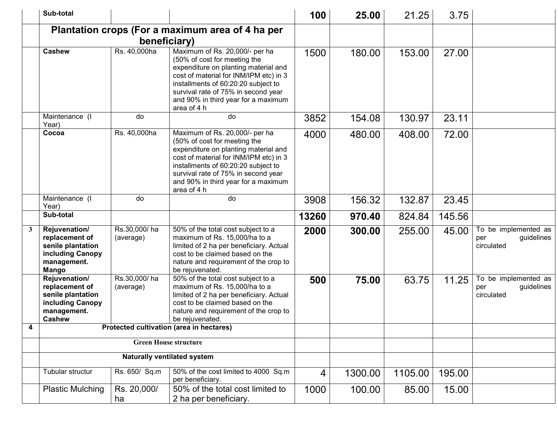|   | Sub-total                                                                                                |                           |                                                                                                                                                                                                                                                                                      | 100   | 25.00   | 21.25   | 3.75   |                                                         |
|---|----------------------------------------------------------------------------------------------------------|---------------------------|--------------------------------------------------------------------------------------------------------------------------------------------------------------------------------------------------------------------------------------------------------------------------------------|-------|---------|---------|--------|---------------------------------------------------------|
|   |                                                                                                          |                           | Plantation crops (For a maximum area of 4 ha per                                                                                                                                                                                                                                     |       |         |         |        |                                                         |
|   |                                                                                                          |                           | beneficiary)                                                                                                                                                                                                                                                                         |       |         |         |        |                                                         |
|   | <b>Cashew</b>                                                                                            | Rs. 40,000ha              | Maximum of Rs. 20,000/- per ha<br>(50% of cost for meeting the<br>expenditure on planting material and<br>cost of material for INM/IPM etc) in 3<br>installments of 60:20:20 subject to<br>survival rate of 75% in second year<br>and 90% in third year for a maximum<br>area of 4 h | 1500  | 180.00  | 153.00  | 27.00  |                                                         |
|   | Maintenance (I<br>Year)                                                                                  | do                        | do                                                                                                                                                                                                                                                                                   | 3852  | 154.08  | 130.97  | 23.11  |                                                         |
|   | Cocoa                                                                                                    | Rs. 40,000ha              | Maximum of Rs. 20,000/- per ha<br>(50% of cost for meeting the<br>expenditure on planting material and<br>cost of material for INM/IPM etc) in 3<br>installments of 60:20:20 subject to<br>survival rate of 75% in second year<br>and 90% in third year for a maximum<br>area of 4 h | 4000  | 480.00  | 408.00  | 72.00  |                                                         |
|   | Maintenance (I<br>Year)                                                                                  | do                        | do                                                                                                                                                                                                                                                                                   | 3908  | 156.32  | 132.87  | 23.45  |                                                         |
|   | Sub-total                                                                                                |                           |                                                                                                                                                                                                                                                                                      | 13260 | 970.40  | 824.84  | 145.56 |                                                         |
| 3 | Rejuvenation/<br>replacement of<br>senile plantation<br>including Canopy<br>management.<br><b>Mango</b>  | Rs.30,000/ha<br>(average) | 50% of the total cost subject to a<br>maximum of Rs. 15,000/ha to a<br>limited of 2 ha per beneficiary. Actual<br>cost to be claimed based on the<br>nature and requirement of the crop to<br>be rejuvenated.                                                                        | 2000  | 300.00  | 255.00  | 45.00  | To be implemented as<br>guidelines<br>per<br>circulated |
|   | Rejuvenation/<br>replacement of<br>senile plantation<br>including Canopy<br>management.<br><b>Cashew</b> | Rs.30,000/ha<br>(average) | 50% of the total cost subject to a<br>maximum of Rs. 15,000/ha to a<br>limited of 2 ha per beneficiary. Actual<br>cost to be claimed based on the<br>nature and requirement of the crop to<br>be rejuvenated.                                                                        | 500   | 75.00   | 63.75   | 11.25  | To be implemented as<br>guidelines<br>per<br>circulated |
| 4 |                                                                                                          |                           | Protected cultivation (area in hectares)                                                                                                                                                                                                                                             |       |         |         |        |                                                         |
|   |                                                                                                          |                           | <b>Green House structure</b>                                                                                                                                                                                                                                                         |       |         |         |        |                                                         |
|   |                                                                                                          |                           | <b>Naturally ventilated system</b>                                                                                                                                                                                                                                                   |       |         |         |        |                                                         |
|   | Tubular structur                                                                                         | Rs. 650/ Sq.m             | 50% of the cost limited to 4000 Sq.m<br>per beneficiary.                                                                                                                                                                                                                             | 4     | 1300.00 | 1105.00 | 195.00 |                                                         |
|   | <b>Plastic Mulching</b>                                                                                  | Rs. 20,000/<br>ha         | 50% of the total cost limited to<br>2 ha per beneficiary.                                                                                                                                                                                                                            | 1000  | 100.00  | 85.00   | 15.00  |                                                         |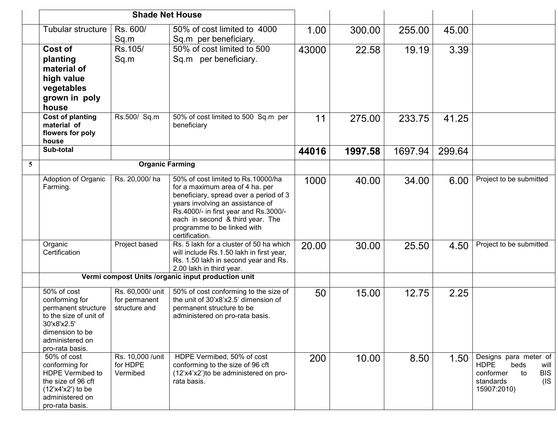|                |                                                                                                                                                        | <b>Shade Net House</b>                             |                                                                                                                                                                                                                                                                                   |       |         |         |        |                                                                                                                             |
|----------------|--------------------------------------------------------------------------------------------------------------------------------------------------------|----------------------------------------------------|-----------------------------------------------------------------------------------------------------------------------------------------------------------------------------------------------------------------------------------------------------------------------------------|-------|---------|---------|--------|-----------------------------------------------------------------------------------------------------------------------------|
|                | Tubular structure                                                                                                                                      | Rs. 600/<br>Sq.m                                   | 50% of cost limited to 4000<br>Sq.m per beneficiary.                                                                                                                                                                                                                              | 1.00  | 300.00  | 255.00  | 45.00  |                                                                                                                             |
|                | Cost of<br>planting<br>material of<br>high value<br>vegetables<br>grown in poly<br>house                                                               | Rs.105/<br>Sq.m                                    | 50% of cost limited to 500<br>Sq.m per beneficiary.                                                                                                                                                                                                                               | 43000 | 22.58   | 19.19   | 3.39   |                                                                                                                             |
|                | <b>Cost of planting</b><br>material of<br>flowers for poly<br>house                                                                                    | Rs.500/ Sq.m                                       | 50% of cost limited to 500 Sq.m per<br>beneficiary                                                                                                                                                                                                                                | 11    | 275.00  | 233.75  | 41.25  |                                                                                                                             |
|                | Sub-total                                                                                                                                              |                                                    |                                                                                                                                                                                                                                                                                   | 44016 | 1997.58 | 1697.94 | 299.64 |                                                                                                                             |
| $\overline{5}$ |                                                                                                                                                        | <b>Organic Farming</b>                             |                                                                                                                                                                                                                                                                                   |       |         |         |        |                                                                                                                             |
|                | Adoption of Organic<br>Farming.                                                                                                                        | Rs. 20,000/ha                                      | 50% of cost limited to Rs.10000/ha<br>for a maximum area of 4 ha. per<br>beneficiary, spread over a period of 3<br>years involving an assistance of<br>Rs.4000/- in first year and Rs.3000/-<br>each in second & third year. The<br>programme to be linked with<br>certification. | 1000  | 40.00   | 34.00   | 6.00   | Project to be submitted                                                                                                     |
|                | Organic<br>Certification                                                                                                                               | Project based                                      | Rs. 5 lakh for a cluster of 50 ha which<br>will include Rs.1.50 lakh in first year,<br>Rs. 1.50 lakh in second year and Rs.<br>2.00 lakh in third year.                                                                                                                           | 20.00 | 30.00   | 25.50   | 4.50   | Project to be submitted                                                                                                     |
|                |                                                                                                                                                        |                                                    | Vermi compost Units /organic input production unit                                                                                                                                                                                                                                |       |         |         |        |                                                                                                                             |
|                | 50% of cost<br>conforming for<br>permanent structure<br>to the size of unit of<br>30'x8'x2.5'<br>dimension to be<br>administered on<br>pro-rata basis. | Rs. 60,000/ unit<br>for permanent<br>structure and | 50% of cost conforming to the size of<br>the unit of 30'x8'x2.5' dimension of<br>permanent structure to be<br>administered on pro-rata basis.                                                                                                                                     | 50    | 15.00   | 12.75   | 2.25   |                                                                                                                             |
|                | 50% of cost<br>conforming for<br>HDPE Vermibed to<br>the size of 96 cft<br>$(12'x4'x2')$ to be<br>administered on<br>pro-rata basis.                   | Rs. 10,000 / unit<br>for HDPE<br>Vermibed          | HDPE Vermibed, 50% of cost<br>conforming to the size of 96 cft<br>(12'x4'x2') to be administered on pro-<br>rata basis.                                                                                                                                                           | 200   | 10.00   | 8.50    | 1.50   | Designs para meter of<br><b>HDPE</b><br>beds<br>will<br><b>BIS</b><br>conformer<br>to<br>$($ IS<br>standards<br>15907:2010) |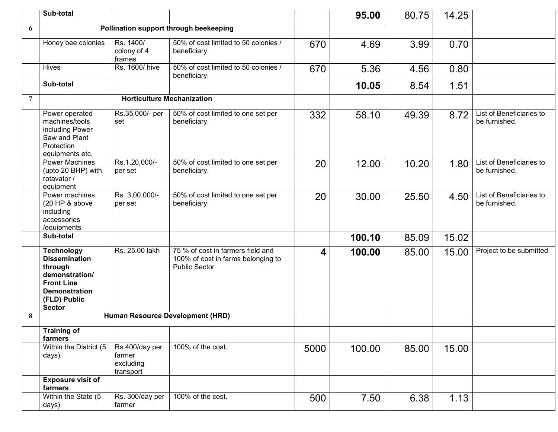|                | Sub-total                                                                                                                                            |                                                    |                                                                                                 |      | 95.00  | 80.75 | 14.25 |                                           |
|----------------|------------------------------------------------------------------------------------------------------------------------------------------------------|----------------------------------------------------|-------------------------------------------------------------------------------------------------|------|--------|-------|-------|-------------------------------------------|
| 6              |                                                                                                                                                      |                                                    | Pollination support through beekeeping                                                          |      |        |       |       |                                           |
|                | Honey bee colonies                                                                                                                                   | Rs. 1400/<br>colony of 4<br>frames                 | 50% of cost limited to 50 colonies /<br>beneficiary.                                            | 670  | 4.69   | 3.99  | 0.70  |                                           |
|                | <b>Hives</b>                                                                                                                                         | Rs. 1600/ hive                                     | 50% of cost limited to 50 colonies /<br>beneficiary.                                            | 670  | 5.36   | 4.56  | 0.80  |                                           |
|                | Sub-total                                                                                                                                            |                                                    |                                                                                                 |      | 10.05  | 8.54  | 1.51  |                                           |
| $\overline{7}$ |                                                                                                                                                      | <b>Horticulture Mechanization</b>                  |                                                                                                 |      |        |       |       |                                           |
|                | Power operated<br>machines/tools<br>including Power<br>Saw and Plant<br>Protection<br>equipments etc.                                                | Rs.35,000/- per<br>set                             | 50% of cost limited to one set per<br>beneficiary.                                              | 332  | 58.10  | 49.39 | 8.72  | List of Beneficiaries to<br>be furnished. |
|                | <b>Power Machines</b><br>(upto 20 BHP) with<br>rotavator /<br>equipment                                                                              | Rs.1,20,000/-<br>per set                           | 50% of cost limited to one set per<br>beneficiary.                                              | 20   | 12.00  | 10.20 | 1.80  | List of Beneficiaries to<br>be furnished. |
|                | Power machines<br>(20 HP & above<br>including<br>accessories<br>/equipments                                                                          | Rs. 3,00,000/-<br>per set                          | 50% of cost limited to one set per<br>beneficiary.                                              | 20   | 30.00  | 25.50 | 4.50  | List of Beneficiaries to<br>be furnished. |
|                | Sub-total                                                                                                                                            |                                                    |                                                                                                 |      | 100.10 | 85.09 | 15.02 |                                           |
|                | <b>Technology</b><br><b>Dissemination</b><br>through<br>demonstration/<br><b>Front Line</b><br><b>Demonstration</b><br>(FLD) Public<br><b>Sector</b> | Rs. 25.00 lakh                                     | 75 % of cost in farmers field and<br>100% of cost in farms belonging to<br><b>Public Sector</b> | 4    | 100.00 | 85.00 | 15.00 | Project to be submitted                   |
| 8              |                                                                                                                                                      |                                                    | Human Resource Development (HRD)                                                                |      |        |       |       |                                           |
|                | <b>Training of</b><br>farmers                                                                                                                        |                                                    |                                                                                                 |      |        |       |       |                                           |
|                | Within the District (5<br>days)                                                                                                                      | Rs.400/day per<br>farmer<br>excluding<br>transport | 100% of the cost.                                                                               | 5000 | 100.00 | 85.00 | 15.00 |                                           |
|                | <b>Exposure visit of</b><br>farmers                                                                                                                  |                                                    |                                                                                                 |      |        |       |       |                                           |
|                | Within the State (5<br>days)                                                                                                                         | Rs. 300/day per<br>farmer                          | 100% of the cost.                                                                               | 500  | 7.50   | 6.38  | 1.13  |                                           |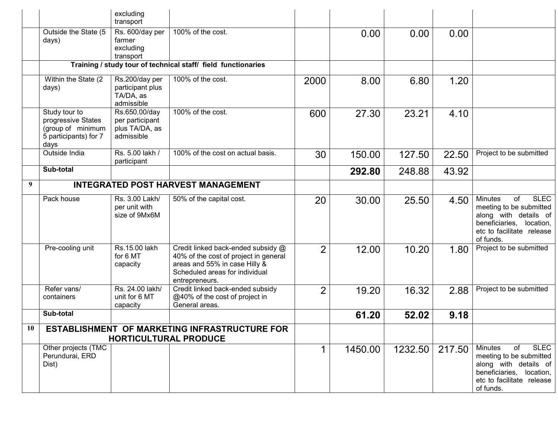|    |                                                                                           | excluding<br>transport                                           |                                                                                                                                                                  |                |         |         |        |                                                                                                                                                               |
|----|-------------------------------------------------------------------------------------------|------------------------------------------------------------------|------------------------------------------------------------------------------------------------------------------------------------------------------------------|----------------|---------|---------|--------|---------------------------------------------------------------------------------------------------------------------------------------------------------------|
|    | Outside the State (5<br>days)                                                             | Rs. 600/day per<br>farmer<br>excluding<br>transport              | 100% of the cost.                                                                                                                                                |                | 0.00    | 0.00    | 0.00   |                                                                                                                                                               |
|    |                                                                                           |                                                                  | Training / study tour of technical staff/ field functionaries                                                                                                    |                |         |         |        |                                                                                                                                                               |
|    | Within the State (2<br>days)                                                              | Rs.200/day per<br>participant plus<br>TA/DA, as<br>admissible    | 100% of the cost.                                                                                                                                                | 2000           | 8.00    | 6.80    | 1.20   |                                                                                                                                                               |
|    | Study tour to<br>progressive States<br>(group of minimum<br>5 participants) for 7<br>days | Rs.650.00/day<br>per participant<br>plus TA/DA, as<br>admissible | 100% of the cost.                                                                                                                                                | 600            | 27.30   | 23.21   | 4.10   |                                                                                                                                                               |
|    | Outside India                                                                             | Rs. 5.00 lakh /<br>participant                                   | 100% of the cost on actual basis.                                                                                                                                | 30             | 150.00  | 127.50  | 22.50  | Project to be submitted                                                                                                                                       |
|    | Sub-total                                                                                 |                                                                  |                                                                                                                                                                  |                | 292.80  | 248.88  | 43.92  |                                                                                                                                                               |
| 9  |                                                                                           |                                                                  | <b>INTEGRATED POST HARVEST MANAGEMENT</b>                                                                                                                        |                |         |         |        |                                                                                                                                                               |
|    | Pack house                                                                                | Rs. 3.00 Lakh/<br>per unit with<br>size of 9Mx6M                 | 50% of the capital cost.                                                                                                                                         | 20             | 30.00   | 25.50   | 4.50   | <b>SLEC</b><br><b>Minutes</b><br>of<br>meeting to be submitted<br>along with details of<br>beneficiaries, location,<br>etc to facilitate release<br>of funds. |
|    | Pre-cooling unit                                                                          | Rs.15.00 lakh<br>for 6 MT<br>capacity                            | Credit linked back-ended subsidy @<br>40% of the cost of project in general<br>areas and 55% in case Hilly &<br>Scheduled areas for individual<br>entrepreneurs. | $\overline{2}$ | 12.00   | 10.20   | 1.80   | Project to be submitted                                                                                                                                       |
|    | Refer vans/<br>containers                                                                 | Rs. 24.00 lakh/<br>unit for 6 MT<br>capacity                     | Credit linked back-ended subsidy<br>@40% of the cost of project in<br>General areas.                                                                             | 2              | 19.20   | 16.32   | 2.88   | Project to be submitted                                                                                                                                       |
|    | Sub-total                                                                                 |                                                                  |                                                                                                                                                                  |                | 61.20   | 52.02   | 9.18   |                                                                                                                                                               |
| 10 |                                                                                           | <b>HORTICULTURAL PRODUCE</b>                                     | ESTABLISHMENT OF MARKETING INFRASTRUCTURE FOR                                                                                                                    |                |         |         |        |                                                                                                                                                               |
|    | Other projects (TMC<br>Perundurai, ERD<br>Dist)                                           |                                                                  |                                                                                                                                                                  | 1              | 1450.00 | 1232.50 | 217.50 | <b>SLEC</b><br><b>Minutes</b><br>of<br>meeting to be submitted<br>along with details of<br>beneficiaries, location,<br>etc to facilitate release<br>of funds. |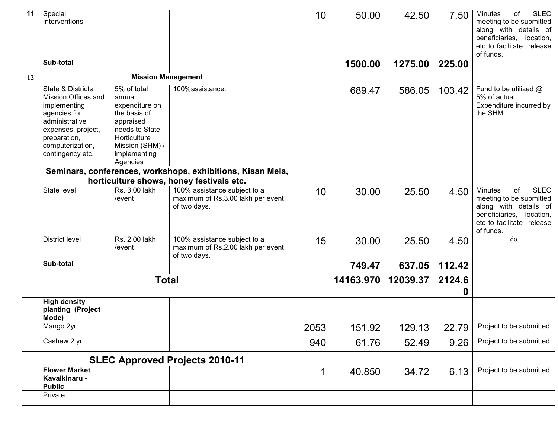| 11 | Special<br>Interventions                                                                                                                                                 |                                                                                                                                                       |                                                                                   | 10          | 50.00     | 42.50    | 7.50        | <b>SLEC</b><br><b>Minutes</b><br>of<br>meeting to be submitted<br>along with details of<br>beneficiaries, location,<br>etc to facilitate release<br>of funds. |
|----|--------------------------------------------------------------------------------------------------------------------------------------------------------------------------|-------------------------------------------------------------------------------------------------------------------------------------------------------|-----------------------------------------------------------------------------------|-------------|-----------|----------|-------------|---------------------------------------------------------------------------------------------------------------------------------------------------------------|
|    | Sub-total                                                                                                                                                                |                                                                                                                                                       |                                                                                   |             | 1500.00   | 1275.00  | 225.00      |                                                                                                                                                               |
| 12 |                                                                                                                                                                          | <b>Mission Management</b>                                                                                                                             |                                                                                   |             |           |          |             |                                                                                                                                                               |
|    | State & Districts<br>Mission Offices and<br>implementing<br>agencies for<br>administrative<br>expenses, project,<br>preparation,<br>computerization,<br>contingency etc. | 5% of total<br>annual<br>expenditure on<br>the basis of<br>appraised<br>needs to State<br>Horticulture<br>Mission (SHM) /<br>implementing<br>Agencies | 100%assistance.                                                                   |             | 689.47    | 586.05   | 103.42      | Fund to be utilized $@$<br>5% of actual<br>Expenditure incurred by<br>the SHM.                                                                                |
|    |                                                                                                                                                                          |                                                                                                                                                       | Seminars, conferences, workshops, exhibitions, Kisan Mela,                        |             |           |          |             |                                                                                                                                                               |
|    | State level                                                                                                                                                              | Rs. 3.00 lakh                                                                                                                                         | horticulture shows, honey festivals etc.                                          |             |           |          |             | <b>SLEC</b>                                                                                                                                                   |
|    |                                                                                                                                                                          | /event                                                                                                                                                | 100% assistance subject to a<br>maximum of Rs.3.00 lakh per event<br>of two days. | 10          | 30.00     | 25.50    | 4.50        | <b>Minutes</b><br>of<br>meeting to be submitted<br>along with details of<br>beneficiaries, location,<br>etc to facilitate release<br>of funds.                |
|    | <b>District level</b>                                                                                                                                                    | Rs. 2.00 lakh<br>/event                                                                                                                               | 100% assistance subject to a<br>maximum of Rs.2.00 lakh per event<br>of two days. | 15          | 30.00     | 25.50    | 4.50        | do                                                                                                                                                            |
|    | Sub-total                                                                                                                                                                |                                                                                                                                                       |                                                                                   |             | 749.47    | 637.05   | 112.42      |                                                                                                                                                               |
|    |                                                                                                                                                                          | <b>Total</b>                                                                                                                                          |                                                                                   |             | 14163.970 | 12039.37 | 2124.6<br>0 |                                                                                                                                                               |
|    | <b>High density</b><br>planting (Project<br>Mode)                                                                                                                        |                                                                                                                                                       |                                                                                   |             |           |          |             |                                                                                                                                                               |
|    | Mango 2yr                                                                                                                                                                |                                                                                                                                                       |                                                                                   | 2053        | 151.92    | 129.13   | 22.79       | Project to be submitted                                                                                                                                       |
|    | Cashew 2 yr                                                                                                                                                              |                                                                                                                                                       |                                                                                   | 940         | 61.76     | 52.49    | 9.26        | Project to be submitted                                                                                                                                       |
|    |                                                                                                                                                                          |                                                                                                                                                       | <b>SLEC Approved Projects 2010-11</b>                                             |             |           |          |             |                                                                                                                                                               |
|    | <b>Flower Market</b><br>Kavalkinaru -<br><b>Public</b>                                                                                                                   |                                                                                                                                                       |                                                                                   | $\mathbf 1$ | 40.850    | 34.72    | 6.13        | Project to be submitted                                                                                                                                       |
|    | Private                                                                                                                                                                  |                                                                                                                                                       |                                                                                   |             |           |          |             |                                                                                                                                                               |